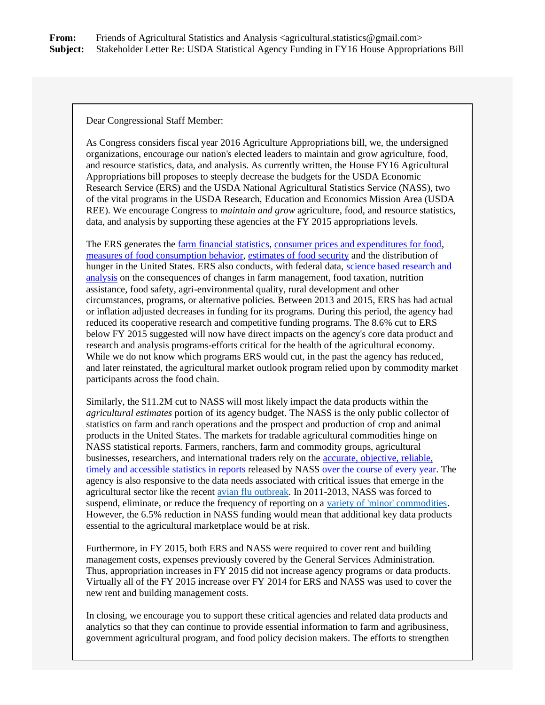**From:** Friends of Agricultural Statistics and Analysis <agricultural.statistics@gmail.com> **Subject:** Stakeholder Letter Re: USDA Statistical Agency Funding in FY16 House Appropriations Bill

Dear Congressional Staff Member:

As Congress considers fiscal year 2016 Agriculture Appropriations bill, we, the undersigned organizations, encourage our nation's elected leaders to maintain and grow agriculture, food, and resource statistics, data, and analysis. As currently written, the House FY16 Agricultural Appropriations bill proposes to steeply decrease the budgets for the USDA Economic Research Service (ERS) and the USDA National Agricultural Statistics Service (NASS), two of the vital programs in the USDA Research, Education and Economics Mission Area (USDA REE). We encourage Congress to *maintain and grow* agriculture, food, and resource statistics, data, and analysis by supporting these agencies at the FY 2015 appropriations levels.

The ERS generates the [farm financial statistics,](http://r20.rs6.net/tn.jsp?f=001dLvvFC7j_l7TG1HLYi8Mnn_jC7O4X5vkqM3G9NyzLdYvT48E-yXwDlbdEXmT4tDngNfuP2WD84H816850OrEg9UZKRR3fVgMIultJuiUYf_WkEx61gwofgbO3qC5io1jJFlIDd4szkyRtAFxQ8EDojme7uI4_psSch1xJiqZFiC7_2GRUiTk2jj2Ft4MuRcyxxZ_s1VApDy-NQisVVR-eN0f5w4mGNL1MKKDTi3-1v6sHM3PBhlFTlcuPtf6Z2teEOza2l2S1NE=&c=PcT8sRF5N9ha96phhp8fTnNOd-nUHg8l68YMoc7wc3JSmjMGbk0tVw==&ch=FHT7saS8WTIyUVGudbF1ATaX_-Y3PZ8pZ6BDU0jsGt7Cn5Zob1naXQ==) [consumer prices and expenditures for food,](http://r20.rs6.net/tn.jsp?f=001dLvvFC7j_l7TG1HLYi8Mnn_jC7O4X5vkqM3G9NyzLdYvT48E-yXwDlbdEXmT4tDn5qR94woXLIXUJIhDVLYe9A1nL9nV50h5gedhf1__YfsVyct-UoNYHUg6wyE8Qh4PPsFvuaJakiOBJvMnVPHD8X1ZboBvFlzNaGQc4Gf_GO3XiMBecWeCLTfaR2qNmo-cn55bMthwp9OFcTalSAgzhBC7bBTVyb3P0DgWsGtwd8h1kRbQupcwu2BrdjGO0RS3PP4BFsi8an4=&c=PcT8sRF5N9ha96phhp8fTnNOd-nUHg8l68YMoc7wc3JSmjMGbk0tVw==&ch=FHT7saS8WTIyUVGudbF1ATaX_-Y3PZ8pZ6BDU0jsGt7Cn5Zob1naXQ==) [measures of food consumption behavior,](http://r20.rs6.net/tn.jsp?f=001dLvvFC7j_l7TG1HLYi8Mnn_jC7O4X5vkqM3G9NyzLdYvT48E-yXwDlbdEXmT4tDn1SjM82M9FOs9wHRfaWH8OHHNMB40iLZlFrKjfjJvpd8ysIny-s-6AjSLgioWR-ih9jeV5LDYKtEpI5mkNrKUO745qSUeX6nBOQmtfCPnJF4SJ9kbVbMGn4EQfmGNoaUx225jyYyeioWQJtVwcjGRL-ZEXyJR53wLbwue5irbJh5sVReY320A5pXxOrDRf5qw9uw6LxxIKeQhgxfnqgGk8tzMs5iYyW68K1eBYFmSSTxymxfQXYLRaabQWWI7swgZPhOaw7iA0Os=&c=PcT8sRF5N9ha96phhp8fTnNOd-nUHg8l68YMoc7wc3JSmjMGbk0tVw==&ch=FHT7saS8WTIyUVGudbF1ATaX_-Y3PZ8pZ6BDU0jsGt7Cn5Zob1naXQ==) [estimates of food](http://r20.rs6.net/tn.jsp?f=001dLvvFC7j_l7TG1HLYi8Mnn_jC7O4X5vkqM3G9NyzLdYvT48E-yXwDlbdEXmT4tDnPwF0yfamH6MAs1ZhxeMEfCPFQybizRObcjxyCQFSDZ_xX2KWmtKEZZyMr_BK6MpqbrgbLpxyZoCwFsbWtl_J4b62_Rq70n6Jm_4RjqdRu8iEndTsFXTO5Ar9RijRi2JHgx2i7DYkXGsQe_xDo5rSL7NCm_IRMfw4-AVHeHIsRdRJ13RQ2fQ9yEyMNd2QuWT7CGta2GYp7Adb_Hcqr4nIrQC5o2PAzY1VZzNsOX5b68c=&c=PcT8sRF5N9ha96phhp8fTnNOd-nUHg8l68YMoc7wc3JSmjMGbk0tVw==&ch=FHT7saS8WTIyUVGudbF1ATaX_-Y3PZ8pZ6BDU0jsGt7Cn5Zob1naXQ==) security and the distribution of hunger in the United States. ERS also conducts, with federal data, [science based research and](http://r20.rs6.net/tn.jsp?f=001dLvvFC7j_l7TG1HLYi8Mnn_jC7O4X5vkqM3G9NyzLdYvT48E-yXwDlbdEXmT4tDnSi2-D75Z3FAY_4WAN8wHbiHPxk9Il-EO7p4wo4isoa6f1lMPIyPv-N1AUTTAmolAXKTl3hnblAshYnO5nWAqwT4Zr7NtI_K-8Dd_GMf7zsZub4m-s8yvzYUXzyM76Sxo&c=PcT8sRF5N9ha96phhp8fTnNOd-nUHg8l68YMoc7wc3JSmjMGbk0tVw==&ch=FHT7saS8WTIyUVGudbF1ATaX_-Y3PZ8pZ6BDU0jsGt7Cn5Zob1naXQ==)  [analysis](http://r20.rs6.net/tn.jsp?f=001dLvvFC7j_l7TG1HLYi8Mnn_jC7O4X5vkqM3G9NyzLdYvT48E-yXwDlbdEXmT4tDnSi2-D75Z3FAY_4WAN8wHbiHPxk9Il-EO7p4wo4isoa6f1lMPIyPv-N1AUTTAmolAXKTl3hnblAshYnO5nWAqwT4Zr7NtI_K-8Dd_GMf7zsZub4m-s8yvzYUXzyM76Sxo&c=PcT8sRF5N9ha96phhp8fTnNOd-nUHg8l68YMoc7wc3JSmjMGbk0tVw==&ch=FHT7saS8WTIyUVGudbF1ATaX_-Y3PZ8pZ6BDU0jsGt7Cn5Zob1naXQ==) on the consequences of changes in farm management, food taxation, nutrition assistance, food safety, agri-environmental quality, rural development and other circumstances, programs, or alternative policies. Between 2013 and 2015, ERS has had actual or inflation adjusted decreases in funding for its programs. During this period, the agency had reduced its cooperative research and competitive funding programs. The 8.6% cut to ERS below FY 2015 suggested will now have direct impacts on the agency's core data product and research and analysis programs-efforts critical for the health of the agricultural economy. While we do not know which programs ERS would cut, in the past the agency has reduced, and later reinstated, the agricultural market outlook program relied upon by commodity market participants across the food chain.

Similarly, the \$11.2M cut to NASS will most likely impact the data products within the *agricultural estimates* portion of its agency budget. The NASS is the only public collector of statistics on farm and ranch operations and the prospect and production of crop and animal products in the United States. The markets for tradable agricultural commodities hinge on NASS statistical reports. Farmers, ranchers, farm and commodity groups, agricultural businesses, researchers, and international traders rely on the [accurate, objective, reliable,](http://r20.rs6.net/tn.jsp?f=001dLvvFC7j_l7TG1HLYi8Mnn_jC7O4X5vkqM3G9NyzLdYvT48E-yXwDlbdEXmT4tDnQBV5Zu-lur-P1nT91xefi4w5bOxnQaziDvgrI50wVi94ULPHul9WrLUkbuQjDhmVmD6nLXnVCiZEP1Nfbaw51gGjWnoUVuAEHFDiW9QFtq4ub7P1UH0N58OAwhk88OKfFmEbGV11uHxeJPZVBfx4EMrxencpyRk4&c=PcT8sRF5N9ha96phhp8fTnNOd-nUHg8l68YMoc7wc3JSmjMGbk0tVw==&ch=FHT7saS8WTIyUVGudbF1ATaX_-Y3PZ8pZ6BDU0jsGt7Cn5Zob1naXQ==)  [timely and accessible statistics in reports](http://r20.rs6.net/tn.jsp?f=001dLvvFC7j_l7TG1HLYi8Mnn_jC7O4X5vkqM3G9NyzLdYvT48E-yXwDlbdEXmT4tDnQBV5Zu-lur-P1nT91xefi4w5bOxnQaziDvgrI50wVi94ULPHul9WrLUkbuQjDhmVmD6nLXnVCiZEP1Nfbaw51gGjWnoUVuAEHFDiW9QFtq4ub7P1UH0N58OAwhk88OKfFmEbGV11uHxeJPZVBfx4EMrxencpyRk4&c=PcT8sRF5N9ha96phhp8fTnNOd-nUHg8l68YMoc7wc3JSmjMGbk0tVw==&ch=FHT7saS8WTIyUVGudbF1ATaX_-Y3PZ8pZ6BDU0jsGt7Cn5Zob1naXQ==) released by NASS [over the course of every year.](http://r20.rs6.net/tn.jsp?f=001dLvvFC7j_l7TG1HLYi8Mnn_jC7O4X5vkqM3G9NyzLdYvT48E-yXwDlbdEXmT4tDn2qqp0sfyy_qzSAIKNNuP-Wuk1JcReal6_HYb1ID-2wWRxb59EZd_GmJO3TO3ydCi53T0-6lzs6AxiwqO4vkg53oTL4-DGs84nu2cfVYprhJEfUF7FhFlHMdgiMVtzzosHzZ5Y3l2tp-vuv7T3uCbahEjkJMwRlsG5JO48uV5xMJAXWk8C2LtOA==&c=PcT8sRF5N9ha96phhp8fTnNOd-nUHg8l68YMoc7wc3JSmjMGbk0tVw==&ch=FHT7saS8WTIyUVGudbF1ATaX_-Y3PZ8pZ6BDU0jsGt7Cn5Zob1naXQ==) The agency is also responsive to the data needs associated with critical issues that emerge in the agricultural sector like the recent [avian flu outbreak.](http://r20.rs6.net/tn.jsp?f=001dLvvFC7j_l7TG1HLYi8Mnn_jC7O4X5vkqM3G9NyzLdYvT48E-yXwDlbdEXmT4tDnhfsJ8lQr97XdS2U9UL9MaFEZr-mAs1y1YSlskgxLknkusG1IU305EEuBcW4CxIiDuR64ZApz3lasFl910risv7iEoPl1v76v34ZEtO8s2zhDV_D8Zscs8I7bvXtA0Z3nUh0RZ0lVFEmxdL6BN3QfE9zoG5ssAGPW0jouUOLzNBL6MKr8vI4A8AJCpXWKzesC5XPfREJGlQuI3Oj6VjTKr_LoFboKgdCv&c=PcT8sRF5N9ha96phhp8fTnNOd-nUHg8l68YMoc7wc3JSmjMGbk0tVw==&ch=FHT7saS8WTIyUVGudbF1ATaX_-Y3PZ8pZ6BDU0jsGt7Cn5Zob1naXQ==) In 2011-2013, NASS was forced to suspend, eliminate, or reduce the frequency of reporting on a [variety of 'minor' commodities.](http://r20.rs6.net/tn.jsp?f=001dLvvFC7j_l7TG1HLYi8Mnn_jC7O4X5vkqM3G9NyzLdYvT48E-yXwDlbdEXmT4tDn22ebKjugMxT7QhZWCLSNt8sn6zVkeh1WxzR6FAmklExiVb73rPb1aAUOC4R32CuQ70-oSMvNeP39nP4wi2O9VHags3209bsXE_4OJrkBuwmYM9huMYBgk1RlOq8H9_7T6nf6EJX7Sjo4n6Gsps_GP-24kSHKndeN&c=PcT8sRF5N9ha96phhp8fTnNOd-nUHg8l68YMoc7wc3JSmjMGbk0tVw==&ch=FHT7saS8WTIyUVGudbF1ATaX_-Y3PZ8pZ6BDU0jsGt7Cn5Zob1naXQ==) However, the 6.5% reduction in NASS funding would mean that additional key data products essential to the agricultural marketplace would be at risk.

Furthermore, in FY 2015, both ERS and NASS were required to cover rent and building management costs, expenses previously covered by the General Services Administration. Thus, appropriation increases in FY 2015 did not increase agency programs or data products. Virtually all of the FY 2015 increase over FY 2014 for ERS and NASS was used to cover the new rent and building management costs.

In closing, we encourage you to support these critical agencies and related data products and analytics so that they can continue to provide essential information to farm and agribusiness, government agricultural program, and food policy decision makers. The efforts to strengthen